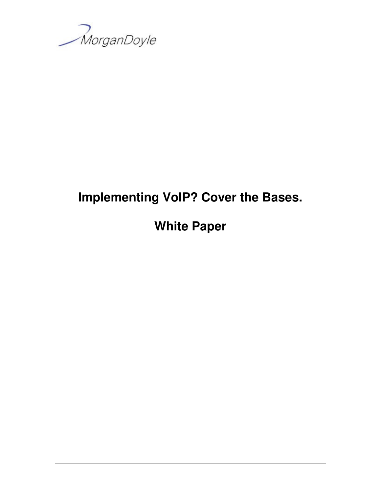

# **Implementing VoIP? Cover the Bases.**

**White Paper**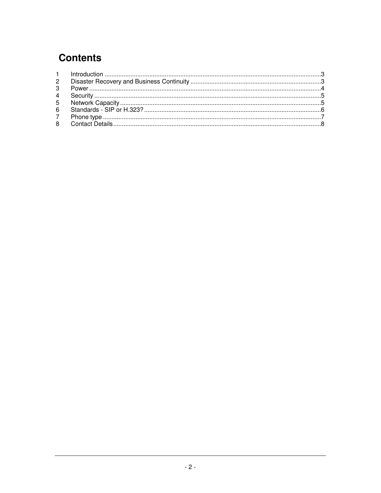# **Contents**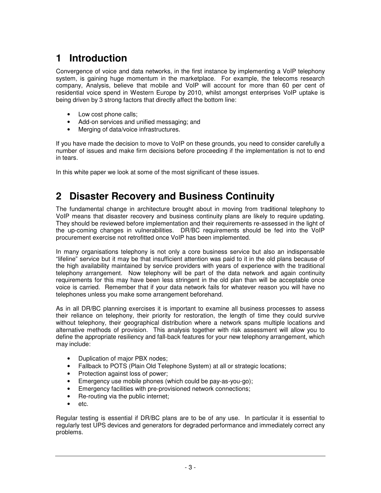### **1 Introduction**

Convergence of voice and data networks, in the first instance by implementing a VoIP telephony system, is gaining huge momentum in the marketplace. For example, the telecoms research company, Analysis, believe that mobile and VoIP will account for more than 60 per cent of residential voice spend in Western Europe by 2010, whilst amongst enterprises VoIP uptake is being driven by 3 strong factors that directly affect the bottom line:

- Low cost phone calls;
- Add-on services and unified messaging; and
- Merging of data/voice infrastructures.

If you have made the decision to move to VoIP on these grounds, you need to consider carefully a number of issues and make firm decisions before proceeding if the implementation is not to end in tears.

In this white paper we look at some of the most significant of these issues.

### **2 Disaster Recovery and Business Continuity**

The fundamental change in architecture brought about in moving from traditional telephony to VoIP means that disaster recovery and business continuity plans are likely to require updating. They should be reviewed before implementation and their requirements re-assessed in the light of the up-coming changes in vulnerabilities. DR/BC requirements should be fed into the VoIP procurement exercise not retrofitted once VoIP has been implemented.

In many organisations telephony is not only a core business service but also an indispensable "lifeline" service but it may be that insufficient attention was paid to it in the old plans because of the high availability maintained by service providers with years of experience with the traditional telephony arrangement. Now telephony will be part of the data network and again continuity requirements for this may have been less stringent in the old plan than will be acceptable once voice is carried. Remember that if your data network fails for whatever reason you will have no telephones unless you make some arrangement beforehand.

As in all DR/BC planning exercises it is important to examine all business processes to assess their reliance on telephony, their priority for restoration, the length of time they could survive without telephony, their geographical distribution where a network spans multiple locations and alternative methods of provision. This analysis together with risk assessment will allow you to define the appropriate resiliency and fall-back features for your new telephony arrangement, which may include:

- Duplication of major PBX nodes;
- Fallback to POTS (Plain Old Telephone System) at all or strategic locations;
- Protection against loss of power;
- Emergency use mobile phones (which could be pay-as-you-go);
- Emergency facilities with pre-provisioned network connections;
- Re-routing via the public internet;
- etc.

Regular testing is essential if DR/BC plans are to be of any use. In particular it is essential to regularly test UPS devices and generators for degraded performance and immediately correct any problems.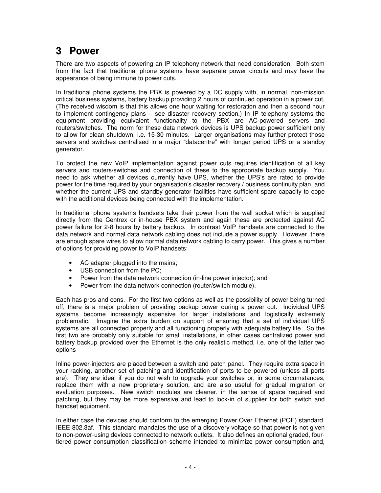#### **3 Power**

There are two aspects of powering an IP telephony network that need consideration. Both stem from the fact that traditional phone systems have separate power circuits and may have the appearance of being immune to power cuts.

In traditional phone systems the PBX is powered by a DC supply with, in normal, non-mission critical business systems, battery backup providing 2 hours of continued operation in a power cut. (The received wisdom is that this allows one hour waiting for restoration and then a second hour to implement contingency plans – see disaster recovery section.) In IP telephony systems the equipment providing equivalent functionality to the PBX are AC-powered servers and routers/switches. The norm for these data network devices is UPS backup power sufficient only to allow for clean shutdown, i.e. 15-30 minutes. Larger organisations may further protect those servers and switches centralised in a major "datacentre" with longer period UPS or a standby generator.

To protect the new VoIP implementation against power cuts requires identification of all key servers and routers/switches and connection of these to the appropriate backup supply. You need to ask whether all devices currently have UPS, whether the UPS's are rated to provide power for the time required by your organisation's disaster recovery / business continuity plan, and whether the current UPS and standby generator facilities have sufficient spare capacity to cope with the additional devices being connected with the implementation.

In traditional phone systems handsets take their power from the wall socket which is supplied directly from the Centrex or in-house PBX system and again these are protected against AC power failure for 2-8 hours by battery backup. In contrast VoIP handsets are connected to the data network and normal data network cabling does not include a power supply. However, there are enough spare wires to allow normal data network cabling to carry power. This gives a number of options for providing power to VoIP handsets:

- AC adapter plugged into the mains;
- USB connection from the PC;
- Power from the data network connection (in-line power injector); and
- Power from the data network connection (router/switch module).

Each has pros and cons. For the first two options as well as the possibility of power being turned off, there is a major problem of providing backup power during a power cut. Individual UPS systems become increasingly expensive for larger installations and logistically extremely problematic. Imagine the extra burden on support of ensuring that a set of individual UPS systems are all connected properly and all functioning properly with adequate battery life. So the first two are probably only suitable for small installations, in other cases centralized power and battery backup provided over the Ethernet is the only realistic method, i.e. one of the latter two options

Inline power-injectors are placed between a switch and patch panel. They require extra space in your racking, another set of patching and identification of ports to be powered (unless all ports are). They are ideal if you do not wish to upgrade your switches or, in some circumstances, replace them with a new proprietary solution, and are also useful for gradual migration or evaluation purposes. New switch modules are cleaner, in the sense of space required and patching, but they may be more expensive and lead to lock-in of supplier for both switch and handset equipment.

In either case the devices should conform to the emerging Power Over Ethernet (POE) standard, IEEE 802.3af. This standard mandates the use of a discovery voltage so that power is not given to non-power-using devices connected to network outlets. It also defines an optional graded, fourtiered power consumption classification scheme intended to minimize power consumption and,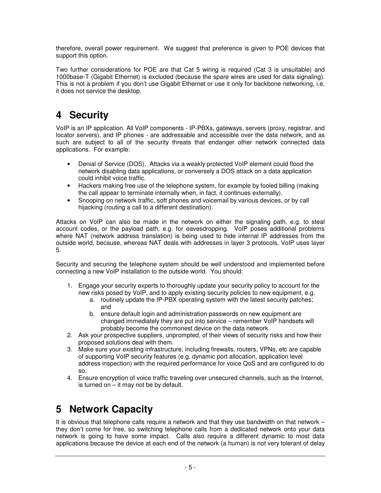therefore, overall power requirement. We suggest that preference is given to POE devices that support this option.

Two further considerations for POE are that Cat 5 wiring is required (Cat 3 is unsuitable) and 1000base-T (Gigabit Ethernet) is excluded (because the spare wires are used for data signaling). This is not a problem if you don't use Gigabit Ethernet or use it only for backbone networking, i.e. it does not service the desktop.

### **4 Security**

VoIP is an IP application. All VoIP components - IP-PBXs, gateways, servers (proxy, registrar, and locator servers), and IP phones - are addressable and accessible over the data network, and as such are subject to all of the security threats that endanger other network connected data applications. For example:

- Denial of Service (DOS). Attacks via a weakly protected VoIP element could flood the network disabling data applications, or conversely a DOS attack on a data application could inhibit voice traffic.
- Hackers making free use of the telephone system, for example by fooled billing (making the call appear to terminate internally when, in fact, it continues externally).
- Snooping on network traffic, soft phones and voicemail by various devices, or by call hijacking (routing a call to a different destination).

Attacks on VoIP can also be made in the network on either the signaling path, e.g. to steal account codes, or the payload path, e.g. for eavesdropping. VoIP poses additional problems where NAT (network address translation) is being used to hide internal IP addresses from the outside world, because, whereas NAT deals with addresses in layer 3 protocols, VoIP uses layer 5.

Security and securing the telephone system should be well understood and implemented before connecting a new VoIP installation to the outside world. You should:

- 1. Engage your security experts to thoroughly update your security policy to account for the new risks posed by VoIP, and to apply existing security policies to new equipment, e.g.
	- a. routinely update the IP-PBX operating system with the latest security patches; and
	- b. ensure default login and administration passwords on new equipment are changed immediately they are put into service – remember VoIP handsets will probably become the commonest device on the data network.
- 2. Ask your prospective suppliers, unprompted, of their views of security risks and how their proposed solutions deal with them.
- 3. Make sure your existing infrastructure, including firewalls, routers, VPNs, etc are capable of supporting VoIP security features (e.g. dynamic port allocation, application level address inspection) with the required performance for voice QoS and are configured to do so.
- 4. Ensure encryption of voice traffic traveling over unsecured channels, such as the Internet, is turned on  $-$  it may not be by default.

### **5 Network Capacity**

It is obvious that telephone calls require a network and that they use bandwidth on that network – they don't come for free, so switching telephone calls from a dedicated network onto your data network is going to have some impact. Calls also require a different dynamic to most data applications because the device at each end of the network (a human) is not very tolerant of delay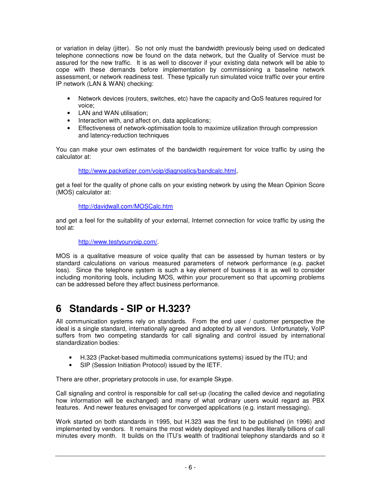or variation in delay (jitter). So not only must the bandwidth previously being used on dedicated telephone connections now be found on the data network, but the Quality of Service must be assured for the new traffic. It is as well to discover if your existing data network will be able to cope with these demands before implementation by commissioning a baseline network assessment, or network readiness test. These typically run simulated voice traffic over your entire IP network (LAN & WAN) checking:

- Network devices (routers, switches, etc) have the capacity and QoS features required for voice;
- LAN and WAN utilisation;
- Interaction with, and affect on, data applications;
- Effectiveness of network-optimisation tools to maximize utilization through compression and latency-reduction techniques

You can make your own estimates of the bandwidth requirement for voice traffic by using the calculator at:

http://www.packetizer.com/voip/diagnostics/bandcalc.html,

get a feel for the quality of phone calls on your existing network by using the Mean Opinion Score (MOS) calculator at:

#### http://davidwall.com/MOSCalc.htm

and get a feel for the suitability of your external, Internet connection for voice traffic by using the tool at:

#### http://www.testyourvoip.com/.

MOS is a qualitative measure of voice quality that can be assessed by human testers or by standard calculations on various measured parameters of network performance (e.g. packet loss). Since the telephone system is such a key element of business it is as well to consider including monitoring tools, including MOS, within your procurement so that upcoming problems can be addressed before they affect business performance.

#### **6 Standards - SIP or H.323?**

All communication systems rely on standards. From the end user / customer perspective the ideal is a single standard, internationally agreed and adopted by all vendors. Unfortunately, VoIP suffers from two competing standards for call signaling and control issued by international standardization bodies:

- H.323 (Packet-based multimedia communications systems) issued by the ITU; and
- SIP (Session Initiation Protocol) issued by the IETF.

There are other, proprietary protocols in use, for example Skype.

Call signaling and control is responsible for call set-up (locating the called device and negotiating how information will be exchanged) and many of what ordinary users would regard as PBX features. And newer features envisaged for converged applications (e.g. instant messaging).

Work started on both standards in 1995, but H.323 was the first to be published (in 1996) and implemented by vendors. It remains the most widely deployed and handles literally billions of call minutes every month. It builds on the ITU's wealth of traditional telephony standards and so it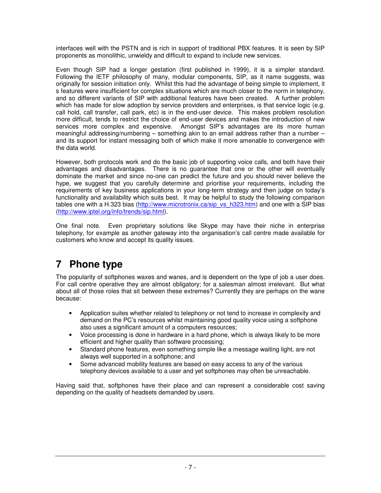interfaces well with the PSTN and is rich in support of traditional PBX features. It is seen by SIP proponents as monolithic, unwieldy and difficult to expand to include new services.

Even though SIP had a longer gestation (first published in 1999), it is a simpler standard. Following the IETF philosophy of many, modular components, SIP, as it name suggests, was originally for session initiation only. Whilst this had the advantage of being simple to implement, it s features were insufficient for complex situations which are much closer to the norm in telephony, and so different variants of SIP with additional features have been created. A further problem which has made for slow adoption by service providers and enterprises, is that service logic (e.g. call hold, call transfer, call park, etc) is in the end-user device. This makes problem resolution more difficult, tends to restrict the choice of end-user devices and makes the introduction of new services more complex and expensive. Amongst SIP's advantages are its more human meaningful addressing/numbering – something akin to an email address rather than a number – and its support for instant messaging both of which make it more amenable to convergence with the data world.

However, both protocols work and do the basic job of supporting voice calls, and both have their advantages and disadvantages. There is no guarantee that one or the other will eventually dominate the market and since no-one can predict the future and you should never believe the hype, we suggest that you carefully determine and prioritise your requirements, including the requirements of key business applications in your long-term strategy and then judge on today's functionality and availability which suits best. It may be helpful to study the following comparison tables one with a H.323 bias (http://www.microtronix.ca/sip\_vs\_h323.htm) and one with a SIP bias (http://www.iptel.org/info/trends/sip.html).

One final note. Even proprietary solutions like Skype may have their niche in enterprise telephony, for example as another gateway into the organisation's call centre made available for customers who know and accept its quality issues.

## **7 Phone type**

The popularity of softphones waxes and wanes, and is dependent on the type of job a user does. For call centre operative they are almost obligatory; for a salesman almost irrelevant. But what about all of those roles that sit between these extremes? Currently they are perhaps on the wane because:

- Application suites whether related to telephony or not tend to increase in complexity and demand on the PC's resources whilst maintaining good quality voice using a softphone also uses a significant amount of a computers resources;
- Voice processing is done in hardware in a hard phone, which is always likely to be more efficient and higher quality than software processing;
- Standard phone features, even something simple like a message waiting light, are not always well supported in a softphone; and
- Some advanced mobility features are based on easy access to any of the various telephony devices available to a user and yet softphones may often be unreachable.

Having said that, softphones have their place and can represent a considerable cost saving depending on the quality of headsets demanded by users.